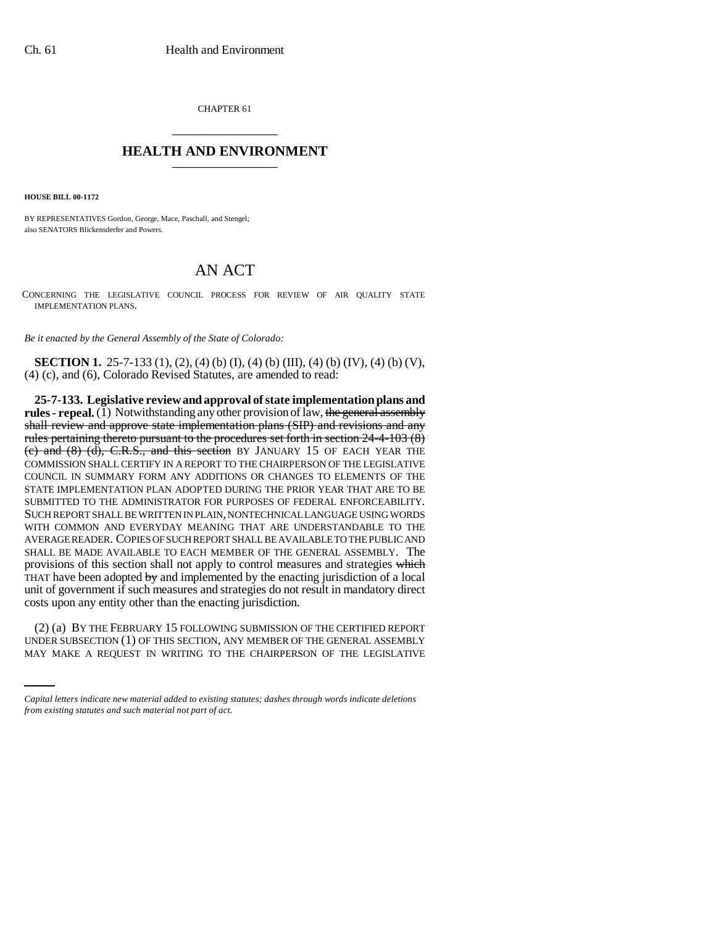CHAPTER 61 \_\_\_\_\_\_\_\_\_\_\_\_\_\_\_

## **HEALTH AND ENVIRONMENT** \_\_\_\_\_\_\_\_\_\_\_\_\_\_\_

**HOUSE BILL 00-1172** 

BY REPRESENTATIVES Gordon, George, Mace, Paschall, and Stengel; also SENATORS Blickensderfer and Powers.

## AN ACT

CONCERNING THE LEGISLATIVE COUNCIL PROCESS FOR REVIEW OF AIR QUALITY STATE IMPLEMENTATION PLANS.

*Be it enacted by the General Assembly of the State of Colorado:*

**SECTION 1.** 25-7-133 (1), (2), (4) (b) (I), (4) (b) (III), (4) (b) (IV), (4) (b) (V), (4) (c), and (6), Colorado Revised Statutes, are amended to read:

**25-7-133. Legislative review and approval of state implementation plans and rules - repeal.** (1) Notwithstanding any other provision of law, the general assembly shall review and approve state implementation plans (SIP) and revisions and any rules pertaining thereto pursuant to the procedures set forth in section 24-4-103 (8) (c) and  $(8)$   $(d)$ , C.R.S., and this section BY JANUARY 15 OF EACH YEAR THE COMMISSION SHALL CERTIFY IN A REPORT TO THE CHAIRPERSON OF THE LEGISLATIVE COUNCIL IN SUMMARY FORM ANY ADDITIONS OR CHANGES TO ELEMENTS OF THE STATE IMPLEMENTATION PLAN ADOPTED DURING THE PRIOR YEAR THAT ARE TO BE SUBMITTED TO THE ADMINISTRATOR FOR PURPOSES OF FEDERAL ENFORCEABILITY. SUCH REPORT SHALL BE WRITTEN IN PLAIN, NONTECHNICAL LANGUAGE USING WORDS WITH COMMON AND EVERYDAY MEANING THAT ARE UNDERSTANDABLE TO THE AVERAGE READER. COPIES OF SUCH REPORT SHALL BE AVAILABLE TO THE PUBLIC AND SHALL BE MADE AVAILABLE TO EACH MEMBER OF THE GENERAL ASSEMBLY. The provisions of this section shall not apply to control measures and strategies which THAT have been adopted  $by$  and implemented by the enacting jurisdiction of a local unit of government if such measures and strategies do not result in mandatory direct costs upon any entity other than the enacting jurisdiction.

(2) (a) BY THE FEBRUARY 15 FOLLOWING SUBMISSION OF THE CERTIFIED REPORT UNDER SUBSECTION (1) OF THIS SECTION, ANY MEMBER OF THE GENERAL ASSEMBLY MAY MAKE A REQUEST IN WRITING TO THE CHAIRPERSON OF THE LEGISLATIVE

*Capital letters indicate new material added to existing statutes; dashes through words indicate deletions from existing statutes and such material not part of act.*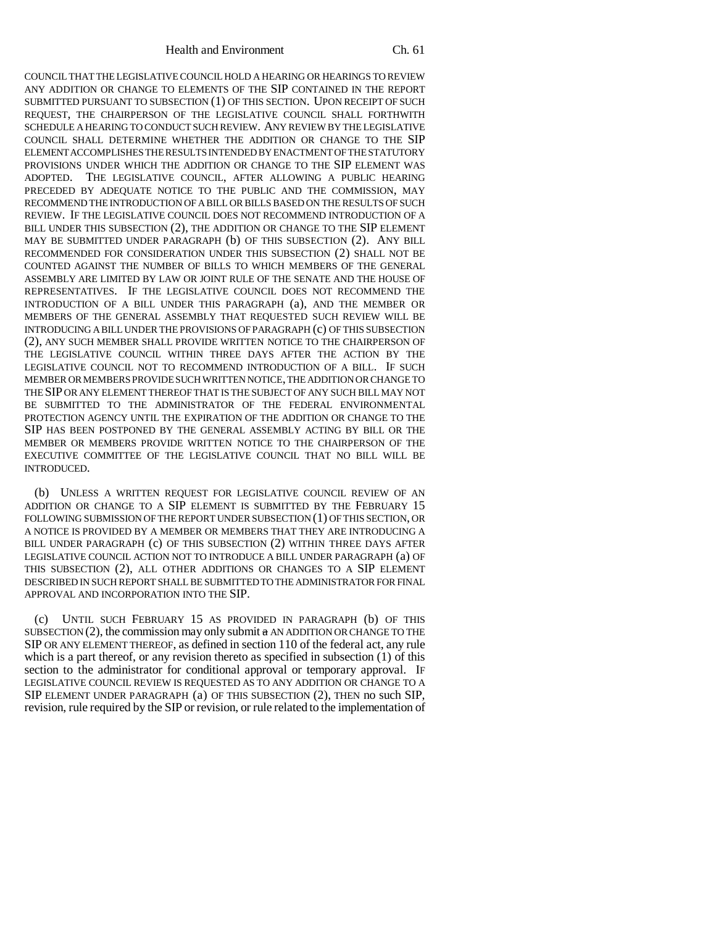COUNCIL THAT THE LEGISLATIVE COUNCIL HOLD A HEARING OR HEARINGS TO REVIEW ANY ADDITION OR CHANGE TO ELEMENTS OF THE SIP CONTAINED IN THE REPORT SUBMITTED PURSUANT TO SUBSECTION (1) OF THIS SECTION. UPON RECEIPT OF SUCH REQUEST, THE CHAIRPERSON OF THE LEGISLATIVE COUNCIL SHALL FORTHWITH SCHEDULE A HEARING TO CONDUCT SUCH REVIEW. ANY REVIEW BY THE LEGISLATIVE COUNCIL SHALL DETERMINE WHETHER THE ADDITION OR CHANGE TO THE SIP ELEMENT ACCOMPLISHES THE RESULTS INTENDED BY ENACTMENT OF THE STATUTORY PROVISIONS UNDER WHICH THE ADDITION OR CHANGE TO THE SIP ELEMENT WAS ADOPTED. THE LEGISLATIVE COUNCIL, AFTER ALLOWING A PUBLIC HEARING PRECEDED BY ADEQUATE NOTICE TO THE PUBLIC AND THE COMMISSION, MAY RECOMMEND THE INTRODUCTION OF A BILL OR BILLS BASED ON THE RESULTS OF SUCH REVIEW. IF THE LEGISLATIVE COUNCIL DOES NOT RECOMMEND INTRODUCTION OF A BILL UNDER THIS SUBSECTION (2), THE ADDITION OR CHANGE TO THE SIP ELEMENT MAY BE SUBMITTED UNDER PARAGRAPH (b) OF THIS SUBSECTION (2). ANY BILL RECOMMENDED FOR CONSIDERATION UNDER THIS SUBSECTION (2) SHALL NOT BE COUNTED AGAINST THE NUMBER OF BILLS TO WHICH MEMBERS OF THE GENERAL ASSEMBLY ARE LIMITED BY LAW OR JOINT RULE OF THE SENATE AND THE HOUSE OF REPRESENTATIVES. IF THE LEGISLATIVE COUNCIL DOES NOT RECOMMEND THE INTRODUCTION OF A BILL UNDER THIS PARAGRAPH (a), AND THE MEMBER OR MEMBERS OF THE GENERAL ASSEMBLY THAT REQUESTED SUCH REVIEW WILL BE INTRODUCING A BILL UNDER THE PROVISIONS OF PARAGRAPH (c) OF THIS SUBSECTION (2), ANY SUCH MEMBER SHALL PROVIDE WRITTEN NOTICE TO THE CHAIRPERSON OF THE LEGISLATIVE COUNCIL WITHIN THREE DAYS AFTER THE ACTION BY THE LEGISLATIVE COUNCIL NOT TO RECOMMEND INTRODUCTION OF A BILL. IF SUCH MEMBER OR MEMBERS PROVIDE SUCH WRITTEN NOTICE, THE ADDITION OR CHANGE TO THE SIP OR ANY ELEMENT THEREOF THAT IS THE SUBJECT OF ANY SUCH BILL MAY NOT BE SUBMITTED TO THE ADMINISTRATOR OF THE FEDERAL ENVIRONMENTAL PROTECTION AGENCY UNTIL THE EXPIRATION OF THE ADDITION OR CHANGE TO THE SIP HAS BEEN POSTPONED BY THE GENERAL ASSEMBLY ACTING BY BILL OR THE MEMBER OR MEMBERS PROVIDE WRITTEN NOTICE TO THE CHAIRPERSON OF THE EXECUTIVE COMMITTEE OF THE LEGISLATIVE COUNCIL THAT NO BILL WILL BE INTRODUCED.

(b) UNLESS A WRITTEN REQUEST FOR LEGISLATIVE COUNCIL REVIEW OF AN ADDITION OR CHANGE TO A SIP ELEMENT IS SUBMITTED BY THE FEBRUARY 15 FOLLOWING SUBMISSION OF THE REPORT UNDER SUBSECTION (1) OF THIS SECTION, OR A NOTICE IS PROVIDED BY A MEMBER OR MEMBERS THAT THEY ARE INTRODUCING A BILL UNDER PARAGRAPH (c) OF THIS SUBSECTION (2) WITHIN THREE DAYS AFTER LEGISLATIVE COUNCIL ACTION NOT TO INTRODUCE A BILL UNDER PARAGRAPH (a) OF THIS SUBSECTION (2), ALL OTHER ADDITIONS OR CHANGES TO A SIP ELEMENT DESCRIBED IN SUCH REPORT SHALL BE SUBMITTED TO THE ADMINISTRATOR FOR FINAL APPROVAL AND INCORPORATION INTO THE SIP.

(c) UNTIL SUCH FEBRUARY 15 AS PROVIDED IN PARAGRAPH (b) OF THIS SUBSECTION  $(2)$ , the commission may only submit  $\alpha$  AN ADDITION OR CHANGE TO THE SIP OR ANY ELEMENT THEREOF, as defined in section 110 of the federal act, any rule which is a part thereof, or any revision thereto as specified in subsection (1) of this section to the administrator for conditional approval or temporary approval. IF LEGISLATIVE COUNCIL REVIEW IS REQUESTED AS TO ANY ADDITION OR CHANGE TO A SIP ELEMENT UNDER PARAGRAPH (a) OF THIS SUBSECTION (2), THEN no such SIP, revision, rule required by the SIP or revision, or rule related to the implementation of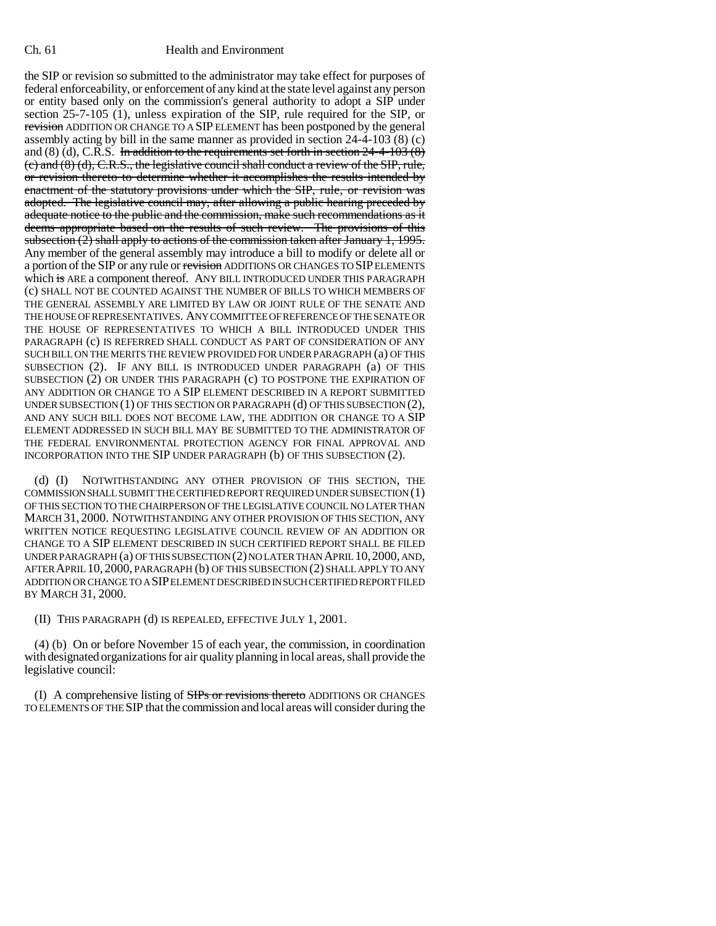## Ch. 61 Health and Environment

the SIP or revision so submitted to the administrator may take effect for purposes of federal enforceability, or enforcement of any kind at the state level against any person or entity based only on the commission's general authority to adopt a SIP under section 25-7-105 (1), unless expiration of the SIP, rule required for the SIP, or revision ADDITION OR CHANGE TO A SIP ELEMENT has been postponed by the general assembly acting by bill in the same manner as provided in section 24-4-103 (8) (c) and  $(8)$  (d), C.R.S. In addition to the requirements set forth in section  $24-4-103$   $(8)$ (c) and (8) (d), C.R.S., the legislative council shall conduct a review of the SIP, rule, or revision thereto to determine whether it accomplishes the results intended by enactment of the statutory provisions under which the SIP, rule, or revision was adopted. The legislative council may, after allowing a public hearing preceded by adequate notice to the public and the commission, make such recommendations as it deems appropriate based on the results of such review. The provisions of this subsection  $(2)$  shall apply to actions of the commission taken after January 1, 1995. Any member of the general assembly may introduce a bill to modify or delete all or a portion of the SIP or any rule or revision ADDITIONS OR CHANGES TO SIP ELEMENTS which is ARE a component thereof. ANY BILL INTRODUCED UNDER THIS PARAGRAPH (c) SHALL NOT BE COUNTED AGAINST THE NUMBER OF BILLS TO WHICH MEMBERS OF THE GENERAL ASSEMBLY ARE LIMITED BY LAW OR JOINT RULE OF THE SENATE AND THE HOUSE OF REPRESENTATIVES. ANY COMMITTEE OF REFERENCE OF THE SENATE OR THE HOUSE OF REPRESENTATIVES TO WHICH A BILL INTRODUCED UNDER THIS PARAGRAPH (c) IS REFERRED SHALL CONDUCT AS PART OF CONSIDERATION OF ANY SUCH BILL ON THE MERITS THE REVIEW PROVIDED FOR UNDER PARAGRAPH (a) OF THIS SUBSECTION (2). IF ANY BILL IS INTRODUCED UNDER PARAGRAPH (a) OF THIS SUBSECTION (2) OR UNDER THIS PARAGRAPH (c) TO POSTPONE THE EXPIRATION OF ANY ADDITION OR CHANGE TO A SIP ELEMENT DESCRIBED IN A REPORT SUBMITTED UNDER SUBSECTION (1) OF THIS SECTION OR PARAGRAPH (d) OF THIS SUBSECTION (2), AND ANY SUCH BILL DOES NOT BECOME LAW, THE ADDITION OR CHANGE TO A SIP ELEMENT ADDRESSED IN SUCH BILL MAY BE SUBMITTED TO THE ADMINISTRATOR OF THE FEDERAL ENVIRONMENTAL PROTECTION AGENCY FOR FINAL APPROVAL AND INCORPORATION INTO THE SIP UNDER PARAGRAPH (b) OF THIS SUBSECTION (2).

(d) (I) NOTWITHSTANDING ANY OTHER PROVISION OF THIS SECTION, THE COMMISSION SHALL SUBMIT THE CERTIFIED REPORT REQUIRED UNDER SUBSECTION (1) OF THIS SECTION TO THE CHAIRPERSON OF THE LEGISLATIVE COUNCIL NO LATER THAN MARCH 31, 2000. NOTWITHSTANDING ANY OTHER PROVISION OF THIS SECTION, ANY WRITTEN NOTICE REQUESTING LEGISLATIVE COUNCIL REVIEW OF AN ADDITION OR CHANGE TO A SIP ELEMENT DESCRIBED IN SUCH CERTIFIED REPORT SHALL BE FILED UNDER PARAGRAPH (a) OF THIS SUBSECTION (2) NO LATER THAN APRIL 10,2000, AND, AFTER APRIL 10, 2000, PARAGRAPH (b) OF THIS SUBSECTION (2) SHALL APPLY TO ANY ADDITION OR CHANGE TO A SIP ELEMENT DESCRIBED IN SUCH CERTIFIED REPORT FILED BY MARCH 31, 2000.

(II) THIS PARAGRAPH (d) IS REPEALED, EFFECTIVE JULY 1, 2001.

(4) (b) On or before November 15 of each year, the commission, in coordination with designated organizations for air quality planning in local areas, shall provide the legislative council:

(I) A comprehensive listing of SIPs or revisions thereto ADDITIONS OR CHANGES TO ELEMENTS OF THE SIP that the commission and local areas will consider during the